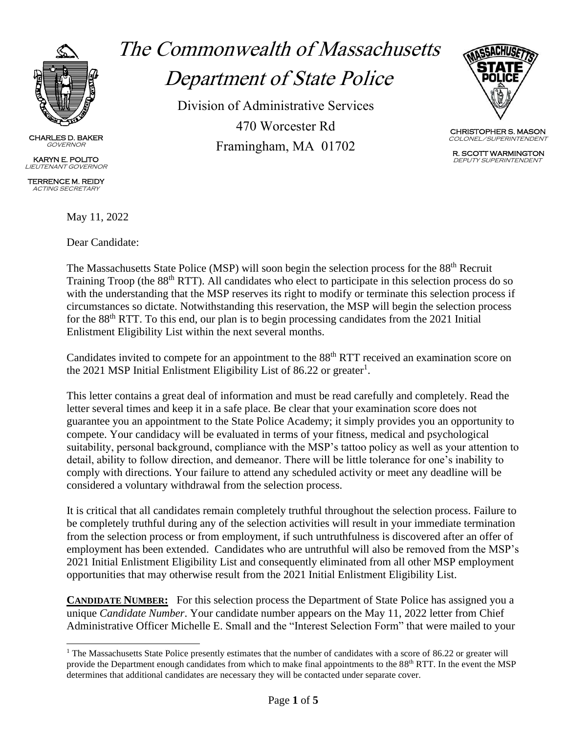

CHARLES D. BAKER **GOVERNOR** 

KARYN E. POLITO LIEUTENANT GOVERNOR

TERRENCE M. REIDY ACTING SECRETARY

May 11, 2022

Dear Candidate:

# The Commonwealth of Massachusetts Department of State Police

Division of Administrative Services 470 Worcester Rd Framingham, MA 01702



CHRISTOPHER S. MASON COLONEL/SUPERINTENDENT

 R. SCOTT WARMINGTON DEPUTY SUPERINTENDENT

The Massachusetts State Police (MSP) will soon begin the selection process for the 88<sup>th</sup> Recruit Training Troop (the 88<sup>th</sup> RTT). All candidates who elect to participate in this selection process do so with the understanding that the MSP reserves its right to modify or terminate this selection process if circumstances so dictate. Notwithstanding this reservation, the MSP will begin the selection process for the 88<sup>th</sup> RTT. To this end, our plan is to begin processing candidates from the 2021 Initial Enlistment Eligibility List within the next several months.

Candidates invited to compete for an appointment to the 88<sup>th</sup> RTT received an examination score on the 2021 MSP Initial Enlistment Eligibility List of 86.22 or greater<sup>1</sup>.

This letter contains a great deal of information and must be read carefully and completely. Read the letter several times and keep it in a safe place. Be clear that your examination score does not guarantee you an appointment to the State Police Academy; it simply provides you an opportunity to compete. Your candidacy will be evaluated in terms of your fitness, medical and psychological suitability, personal background, compliance with the MSP's tattoo policy as well as your attention to detail, ability to follow direction, and demeanor. There will be little tolerance for one's inability to comply with directions. Your failure to attend any scheduled activity or meet any deadline will be considered a voluntary withdrawal from the selection process.

It is critical that all candidates remain completely truthful throughout the selection process. Failure to be completely truthful during any of the selection activities will result in your immediate termination from the selection process or from employment, if such untruthfulness is discovered after an offer of employment has been extended. Candidates who are untruthful will also be removed from the MSP's 2021 Initial Enlistment Eligibility List and consequently eliminated from all other MSP employment opportunities that may otherwise result from the 2021 Initial Enlistment Eligibility List.

**CANDIDATE NUMBER:** For this selection process the Department of State Police has assigned you a unique *Candidate Number*. Your candidate number appears on the May 11, 2022 letter from Chief Administrative Officer Michelle E. Small and the "Interest Selection Form" that were mailed to your

<sup>&</sup>lt;sup>1</sup> The Massachusetts State Police presently estimates that the number of candidates with a score of 86.22 or greater will provide the Department enough candidates from which to make final appointments to the 88<sup>th</sup> RTT. In the event the MSP determines that additional candidates are necessary they will be contacted under separate cover.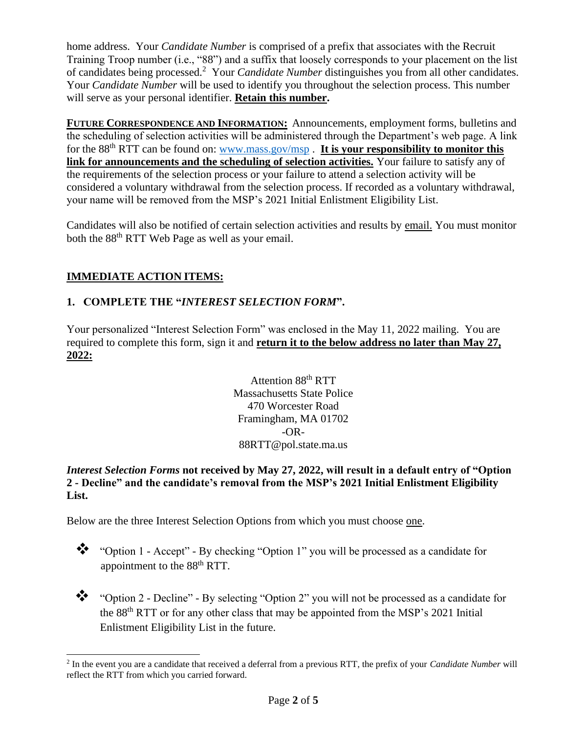home address. Your *Candidate Number* is comprised of a prefix that associates with the Recruit Training Troop number (i.e., "88") and a suffix that loosely corresponds to your placement on the list of candidates being processed.<sup>2</sup> Your *Candidate Number* distinguishes you from all other candidates. Your *Candidate Number* will be used to identify you throughout the selection process. This number will serve as your personal identifier. **Retain this number.**

**FUTURE CORRESPONDENCE AND INFORMATION:** Announcements, employment forms, bulletins and the scheduling of selection activities will be administered through the Department's web page. A link for the 88<sup>th</sup> RTT can be found on: [www.mass.gov/msp](http://www.mass.gov/msp). It is your responsibility to monitor this **link for announcements and the scheduling of selection activities.** Your failure to satisfy any of the requirements of the selection process or your failure to attend a selection activity will be considered a voluntary withdrawal from the selection process. If recorded as a voluntary withdrawal, your name will be removed from the MSP's 2021 Initial Enlistment Eligibility List.

Candidates will also be notified of certain selection activities and results by email. You must monitor both the 88<sup>th</sup> RTT Web Page as well as your email.

## **IMMEDIATE ACTION ITEMS:**

### **1. COMPLETE THE "***INTEREST SELECTION FORM***".**

Your personalized "Interest Selection Form" was enclosed in the May 11, 2022 mailing. You are required to complete this form, sign it and **return it to the below address no later than May 27, 2022:**

> Attention 88<sup>th</sup> RTT Massachusetts State Police 470 Worcester Road Framingham, MA 01702  $-OR-$ 88RTT@pol.state.ma.us

#### *Interest Selection Forms* **not received by May 27, 2022, will result in a default entry of "Option 2 - Decline" and the candidate's removal from the MSP's 2021 Initial Enlistment Eligibility List.**

Below are the three Interest Selection Options from which you must choose one.

❖ "Option 1 - Accept" - By checking "Option 1" you will be processed as a candidate for appointment to the 88<sup>th</sup> RTT.

❖ "Option 2 - Decline" - By selecting "Option 2" you will not be processed as a candidate for the 88<sup>th</sup> RTT or for any other class that may be appointed from the MSP's 2021 Initial Enlistment Eligibility List in the future.

<sup>2</sup> In the event you are a candidate that received a deferral from a previous RTT, the prefix of your *Candidate Number* will reflect the RTT from which you carried forward.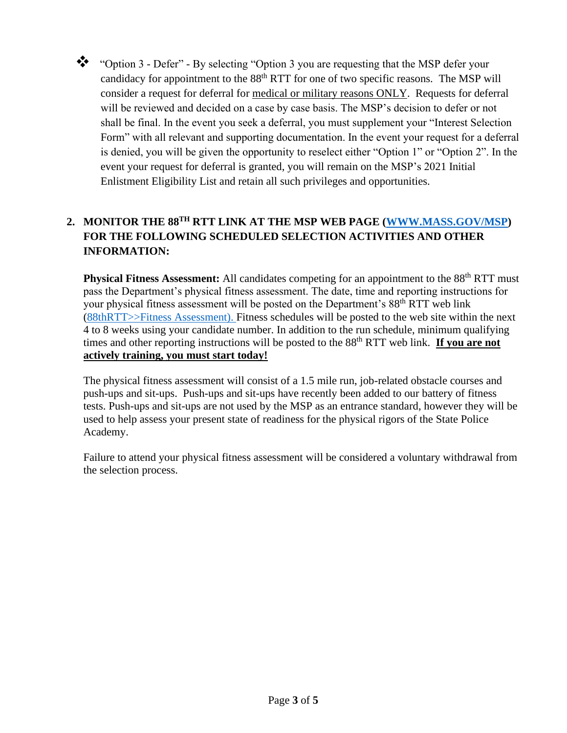

❖ "Option 3 - Defer" - By selecting "Option 3 you are requesting that the MSP defer your candidacy for appointment to the 88<sup>th</sup> RTT for one of two specific reasons. The MSP will consider a request for deferral for medical or military reasons ONLY. Requests for deferral will be reviewed and decided on a case by case basis. The MSP's decision to defer or not shall be final. In the event you seek a deferral, you must supplement your "Interest Selection Form" with all relevant and supporting documentation. In the event your request for a deferral is denied, you will be given the opportunity to reselect either "Option 1" or "Option 2". In the event your request for deferral is granted, you will remain on the MSP's 2021 Initial Enlistment Eligibility List and retain all such privileges and opportunities.

# **2. MONITOR THE 88 TH RTT LINK AT THE MSP WEB PAGE [\(WWW.MASS.GOV/MSP\)](http://www.mass.gov/msp) FOR THE FOLLOWING SCHEDULED SELECTION ACTIVITIES AND OTHER INFORMATION:**

Physical Fitness Assessment: All candidates competing for an appointment to the 88<sup>th</sup> RTT must pass the Department's physical fitness assessment. The date, time and reporting instructions for your physical fitness assessment will be posted on the Department's 88<sup>th</sup> RTT web link [\(88thRTT>>Fitness](http://www.mass.gov/msp/84thRTT/FitnessTesting) Assessment). Fitness schedules will be posted to the web site within the next 4 to 8 weeks using your candidate number. In addition to the run schedule, minimum qualifying times and other reporting instructions will be posted to the 88<sup>th</sup> RTT web link. **If you are not actively training, you must start today!**

The physical fitness assessment will consist of a 1.5 mile run, job-related obstacle courses and push-ups and sit-ups. Push-ups and sit-ups have recently been added to our battery of fitness tests. Push-ups and sit-ups are not used by the MSP as an entrance standard, however they will be used to help assess your present state of readiness for the physical rigors of the State Police Academy.

Failure to attend your physical fitness assessment will be considered a voluntary withdrawal from the selection process.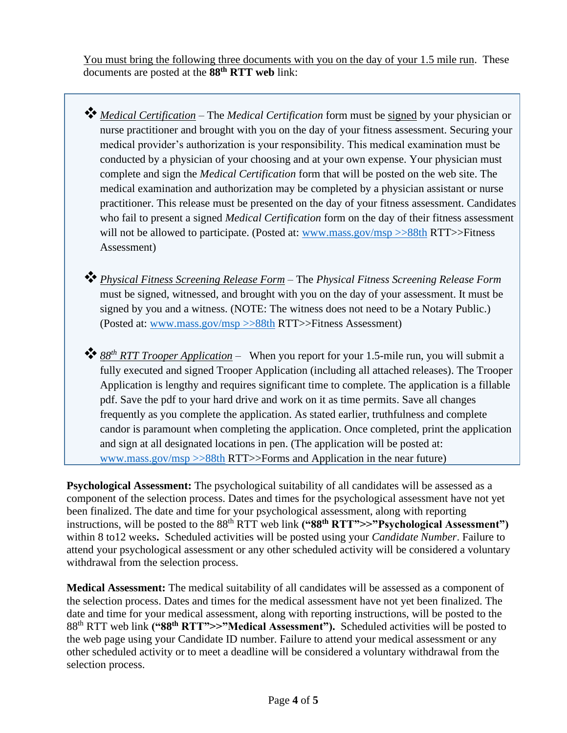You must bring the following three documents with you on the day of your 1.5 mile run. These documents are posted at the **88 th RTT web** link:

- ❖*Medical Certification* The *Medical Certification* form must be signed by your physician or nurse practitioner and brought with you on the day of your fitness assessment. Securing your medical provider's authorization is your responsibility. This medical examination must be conducted by a physician of your choosing and at your own expense. Your physician must complete and sign the *Medical Certification* form that will be posted on the web site. The medical examination and authorization may be completed by a physician assistant or nurse practitioner. This release must be presented on the day of your fitness assessment. Candidates who fail to present a signed *Medical Certification* form on the day of their fitness assessment will not be allowed to participate. (Posted at: [www.mass.gov/msp >>88th](http://www.mass.gov/msp%20%3e%3e88th) RTT>>Fitness Assessment)
- ❖*Physical Fitness Screening Release Form* The *Physical Fitness Screening Release Form* must be signed, witnessed, and brought with you on the day of your assessment. It must be signed by you and a witness. (NOTE: The witness does not need to be a Notary Public.) (Posted at: [www.mass.gov/msp >>88th](http://www.mass.gov/msp%20%3e%3e88th) RTT>>Fitness Assessment)
- ❖*<sup>88</sup> th RTT Trooper Application* When you report for your 1.5-mile run, you will submit a fully executed and signed Trooper Application (including all attached releases). The Trooper Application is lengthy and requires significant time to complete. The application is a fillable pdf. Save the pdf to your hard drive and work on it as time permits. Save all changes frequently as you complete the application. As stated earlier, truthfulness and complete candor is paramount when completing the application. Once completed, print the application and sign at all designated locations in pen. (The application will be posted at: [www.mass.gov/msp >>88th](http://www.mass.gov/msp%20%3e%3e88th) RTT>>Forms and Application in the near future)

**Psychological Assessment:** The psychological suitability of all candidates will be assessed as a component of the selection process. Dates and times for the psychological assessment have not yet been finalized. The date and time for your psychological assessment, along with reporting instructions, will be posted to the 88<sup>th</sup> RTT web link ("88<sup>th</sup> RTT">>"Psychological Assessment") within 8 to12 weeks**.** Scheduled activities will be posted using your *Candidate Number*. Failure to attend your psychological assessment or any other scheduled activity will be considered a voluntary withdrawal from the selection process.

**Medical Assessment:** The medical suitability of all candidates will be assessed as a component of the selection process. Dates and times for the medical assessment have not yet been finalized. The date and time for your medical assessment, along with reporting instructions, will be posted to the 88 th RTT web link **("88 th RTT">>"Medical Assessment").** Scheduled activities will be posted to the web page using your Candidate ID number. Failure to attend your medical assessment or any other scheduled activity or to meet a deadline will be considered a voluntary withdrawal from the selection process.